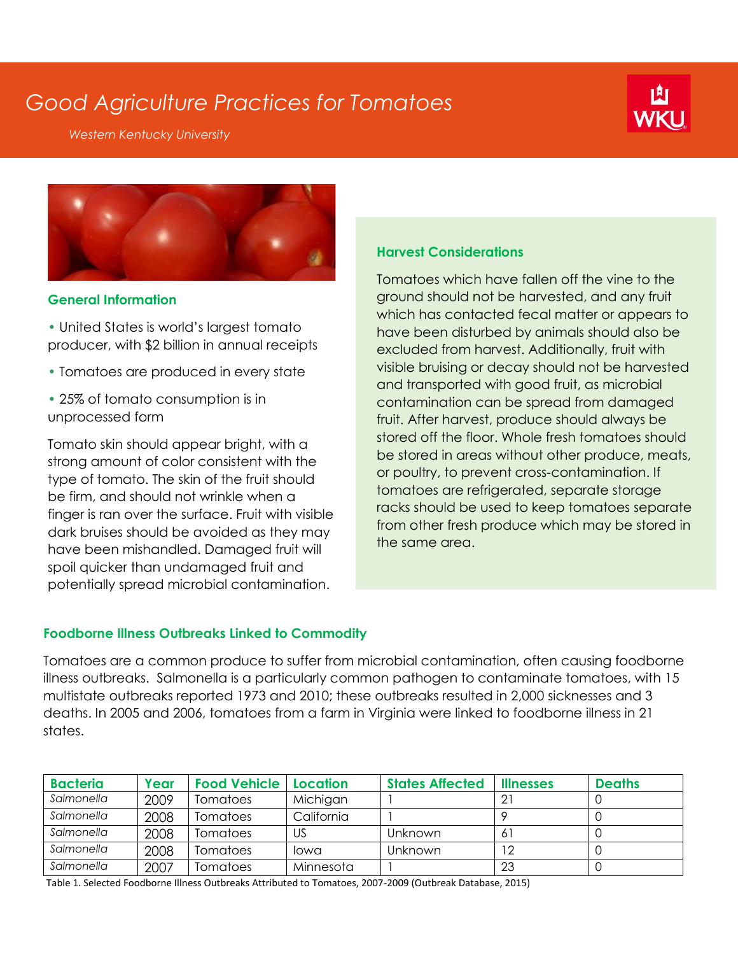# *Good Agriculture Practices for Tomatoes*

*Western Kentucky University*



i



**General Information**

- United States is world's largest tomato producer, with \$2 billion in annual receipts
- Tomatoes are produced in every state
- 25% of tomato consumption is in unprocessed form

Tomato skin should appear bright, with a strong amount of color consistent with the type of tomato. The skin of the fruit should be firm, and should not wrinkle when a finger is ran over the surface. Fruit with visible dark bruises should be avoided as they may have been mishandled. Damaged fruit will spoil quicker than undamaged fruit and potentially spread microbial contamination.

## **Harvest Considerations**

Tomatoes which have fallen off the vine to the ground should not be harvested, and any fruit which has contacted fecal matter or appears to have been disturbed by animals should also be excluded from harvest. Additionally, fruit with visible bruising or decay should not be harvested and transported with good fruit, as microbial contamination can be spread from damaged fruit. After harvest, produce should always be stored off the floor. Whole fresh tomatoes should be stored in areas without other produce, meats, or poultry, to prevent cross-contamination. If tomatoes are refrigerated, separate storage racks should be used to keep tomatoes separate from other fresh produce which may be stored in the same area.

### **Foodborne Illness Outbreaks Linked to Commodity**

Tomatoes are a common produce to suffer from microbial contamination, often causing foodborne illness outbreaks. Salmonella is a particularly common pathogen to contaminate tomatoes, with 15 multistate outbreaks reported 1973 and 2010; these outbreaks resulted in 2,000 sicknesses and 3 deaths. In 2005 and 2006, tomatoes from a farm in Virginia were linked to foodborne illness in 21 states.

| <b>Bacteria</b> | Year | <b>Food Vehicle</b> | Location   | <b>States Affected</b> | <b>Ilnesses</b> | <b>Deaths</b> |
|-----------------|------|---------------------|------------|------------------------|-----------------|---------------|
| Salmonella      | 2009 | Tomatoes            | Michigan   |                        |                 |               |
| Salmonella      | 2008 | <b>Tomatoes</b>     | California |                        |                 |               |
| Salmonella      | 2008 | Tomatoes            | US         | Unknown                | 6               |               |
| Salmonella      | 2008 | <b>Tomatoes</b>     | lowa       | Unknown                | 12              |               |
| Salmonella      | 2007 | Tomatoes            | Minnesota  |                        | 23              |               |

Table 1. Selected Foodborne Illness Outbreaks Attributed to Tomatoes, 2007-2009 (Outbreak Database, 2015)